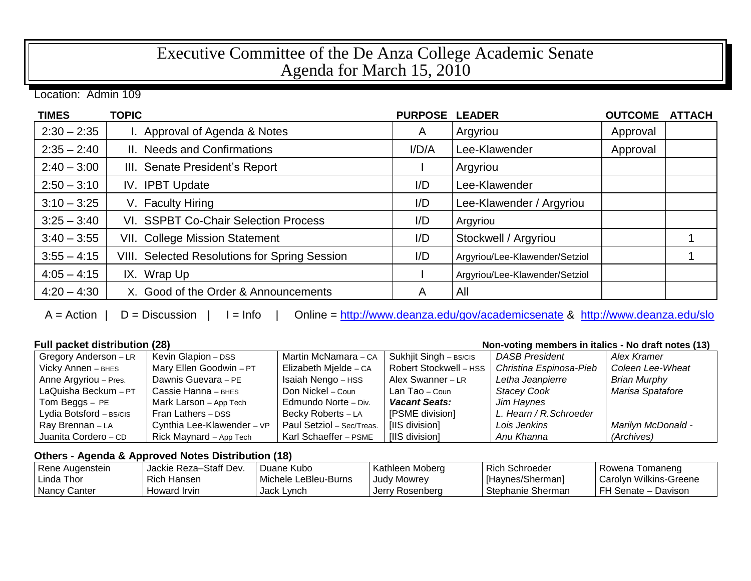## Executive Committee of the De Anza College Academic Senate Agenda for March 15, 2010

Location: Admin 109

| <b>TIMES</b>  | <b>TOPIC</b>                                         | <b>PURPOSE</b> | <b>LEADER</b>                  | <b>OUTCOME</b> | <b>ATTACH</b> |
|---------------|------------------------------------------------------|----------------|--------------------------------|----------------|---------------|
| $2:30 - 2:35$ | I. Approval of Agenda & Notes                        | A              | Argyriou                       | Approval       |               |
| $2:35 - 2:40$ | II. Needs and Confirmations                          | I/D/A          | Lee-Klawender                  | Approval       |               |
| $2:40 - 3:00$ | III. Senate President's Report                       |                | Argyriou                       |                |               |
| $2:50 - 3:10$ | IV. IPBT Update                                      | I/D            | Lee-Klawender                  |                |               |
| $3:10 - 3:25$ | V. Faculty Hiring                                    | I/D            | Lee-Klawender / Argyriou       |                |               |
| $3:25 - 3:40$ | VI. SSPBT Co-Chair Selection Process                 | I/D            | Argyriou                       |                |               |
| $3:40 - 3:55$ | <b>VII. College Mission Statement</b>                | I/D            | Stockwell / Argyriou           |                |               |
| $3:55 - 4:15$ | <b>VIII. Selected Resolutions for Spring Session</b> | I/D            | Argyriou/Lee-Klawender/Setziol |                |               |
| $4:05 - 4:15$ | IX. Wrap Up                                          |                | Argyriou/Lee-Klawender/Setziol |                |               |
| $4:20 - 4:30$ | X. Good of the Order & Announcements                 | A              | All                            |                |               |

A = Action | D = Discussion | I = Info | Online =<http://www.deanza.edu/gov/academicsenate> & <http://www.deanza.edu/slo>

**Full packet distribution (28) Non-voting members in italics - No draft notes (13)** 

| Gregory Anderson - LR   | Kevin Glapion - DSS        | Martin McNamara - CA      | Sukhjit Singh - BS/CIS | <b>DASB President</b>   | Alex Kramer         |
|-------------------------|----------------------------|---------------------------|------------------------|-------------------------|---------------------|
| Vicky Annen - BHES      | Mary Ellen Goodwin - PT    | Elizabeth Mjelde - CA     | Robert Stockwell - HSS | Christina Espinosa-Pieb | Coleen Lee-Wheat    |
| Anne Argyriou - Pres.   | Dawnis Guevara - PE        | Isaiah Nengo - HSS        | Alex Swanner - LR      | Letha Jeanpierre        | <b>Brian Murphy</b> |
| LaQuisha Beckum - PT    | Cassie Hanna - внез        | Don Nickel - Coun         | Lan Tao – Coun         | <b>Stacey Cook</b>      | Marisa Spatafore    |
| Tom Beggs - PE          | Mark Larson - App Tech     | Edmundo Norte - Div.      | <b>Vacant Seats:</b>   | Jim Haynes              |                     |
| Lydia Botsford - BS/CIS | Fran Lathers - DSS         | Becky Roberts - LA        | [PSME division]        | L. Hearn / R. Schroeder |                     |
| Ray Brennan - LA        | Cynthia Lee-Klawender - VP | Paul Setziol - Sec/Treas. | [IIS division]         | Lois Jenkins            | Marilyn McDonald -  |
| Juanita Cordero - CD    | Rick Maynard - App Tech    | Karl Schaeffer - PSME     | [IIS division]         | Anu Khanna              | (Archives)          |

## **Others - Agenda & Approved Notes Distribution (18)**

| Rene Augenstein | Jackie Reza-Staff Dev. | Duane Kubo           | Kathleen Moberg    | Rich Schroeder    | Rowena Tomaneng        |
|-----------------|------------------------|----------------------|--------------------|-------------------|------------------------|
| ı Linda Thor    | l Rich Hansen.         | Michele LeBleu-Burns | <b>Judy Mowrey</b> | [Haynes/Sherman]  | Carolyn Wilkins-Greene |
| Nancy Canter    | l Howard Irvin         | Jack Lynch           | Jerry Rosenberg    | Stephanie Sherman | FH Senate – Davison    |